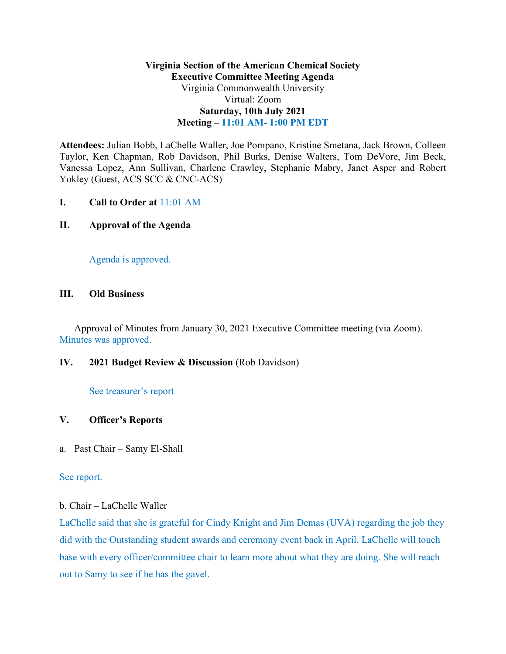# **Virginia Section of the American Chemical Society Executive Committee Meeting Agenda**  Virginia Commonwealth University Virtual: Zoom **Saturday, 10th July 2021 Meeting – 11:01 AM- 1:00 PM EDT**

**Attendees:** Julian Bobb, LaChelle Waller, Joe Pompano, Kristine Smetana, Jack Brown, Colleen Taylor, Ken Chapman, Rob Davidson, Phil Burks, Denise Walters, Tom DeVore, Jim Beck, Vanessa Lopez, Ann Sullivan, Charlene Crawley, Stephanie Mabry, Janet Asper and Robert Yokley (Guest, ACS SCC & CNC-ACS)

**I. Call to Order at** 11:01 AM

# **II. Approval of the Agenda**

Agenda is approved.

## **III. Old Business**

Approval of Minutes from January 30, 2021 Executive Committee meeting (via Zoom). Minutes was approved.

## **IV. 2021 Budget Review & Discussion** (Rob Davidson)

## See treasurer's report

## **V. Officer's Reports**

a. Past Chair – Samy El-Shall

## See report.

## b. Chair – LaChelle Waller

LaChelle said that she is grateful for Cindy Knight and Jim Demas (UVA) regarding the job they did with the Outstanding student awards and ceremony event back in April. LaChelle will touch base with every officer/committee chair to learn more about what they are doing. She will reach out to Samy to see if he has the gavel.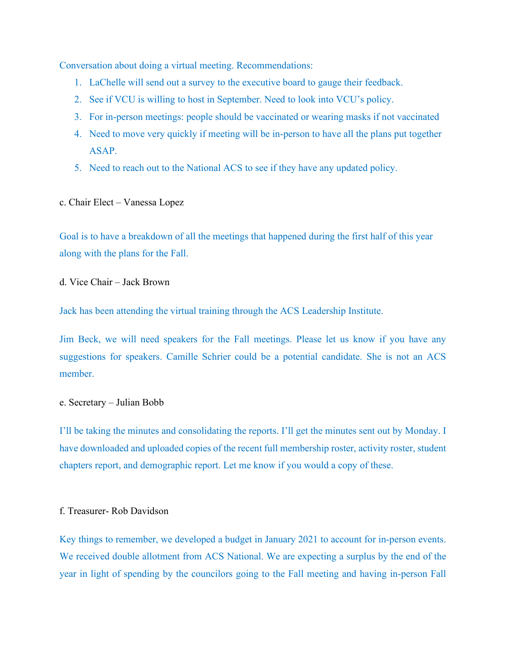Conversation about doing a virtual meeting. Recommendations:

- 1. LaChelle will send out a survey to the executive board to gauge their feedback.
- 2. See if VCU is willing to host in September. Need to look into VCU's policy.
- 3. For in-person meetings: people should be vaccinated or wearing masks if not vaccinated
- 4. Need to move very quickly if meeting will be in-person to have all the plans put together ASAP.
- 5. Need to reach out to the National ACS to see if they have any updated policy.
- c. Chair Elect Vanessa Lopez

Goal is to have a breakdown of all the meetings that happened during the first half of this year along with the plans for the Fall.

### d. Vice Chair – Jack Brown

Jack has been attending the virtual training through the ACS Leadership Institute.

Jim Beck, we will need speakers for the Fall meetings. Please let us know if you have any suggestions for speakers. Camille Schrier could be a potential candidate. She is not an ACS member.

#### e. Secretary – Julian Bobb

I'll be taking the minutes and consolidating the reports. I'll get the minutes sent out by Monday. I have downloaded and uploaded copies of the recent full membership roster, activity roster, student chapters report, and demographic report. Let me know if you would a copy of these.

#### f. Treasurer- Rob Davidson

Key things to remember, we developed a budget in January 2021 to account for in-person events. We received double allotment from ACS National. We are expecting a surplus by the end of the year in light of spending by the councilors going to the Fall meeting and having in-person Fall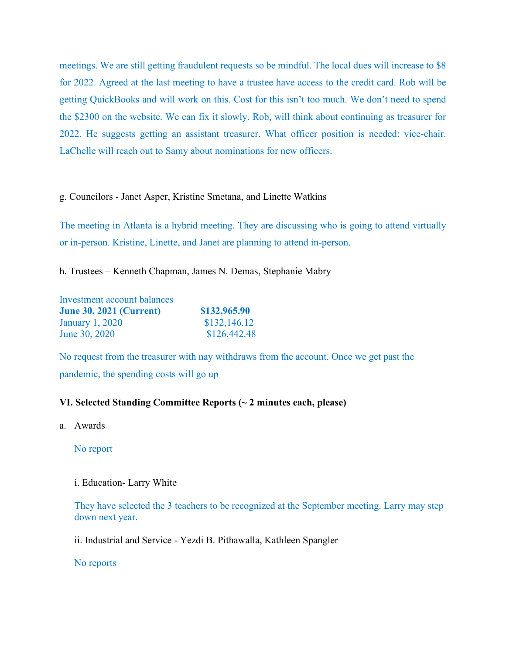meetings. We are still getting fraudulent requests so be mindful. The local dues will increase to \$8 for 2022. Agreed at the last meeting to have a trustee have access to the credit card. Rob will be getting QuickBooks and will work on this. Cost for this isn't too much. We don't need to spend the \$2300 on the website. We can fix it slowly. Rob, will think about continuing as treasurer for 2022. He suggests getting an assistant treasurer. What officer position is needed: vice-chair. LaChelle will reach out to Samy about nominations for new officers.

### g. Councilors - Janet Asper, Kristine Smetana, and Linette Watkins

The meeting in Atlanta is a hybrid meeting. They are discussing who is going to attend virtually or in-person. Kristine, Linette, and Janet are planning to attend in-person.

h. Trustees – Kenneth Chapman, James N. Demas, Stephanie Mabry

| Investment account balances    |              |
|--------------------------------|--------------|
| <b>June 30, 2021 (Current)</b> | \$132,965.90 |
| <b>January 1, 2020</b>         | \$132,146.12 |
| June 30, 2020                  | \$126,442.48 |

No request from the treasurer with nay withdraws from the account. Once we get past the pandemic, the spending costs will go up

## **VI. Selected Standing Committee Reports (~ 2 minutes each, please)**

a. Awards

No report

i. Education- Larry White

They have selected the 3 teachers to be recognized at the September meeting. Larry may step down next year.

ii. Industrial and Service - Yezdi B. Pithawalla, Kathleen Spangler

No reports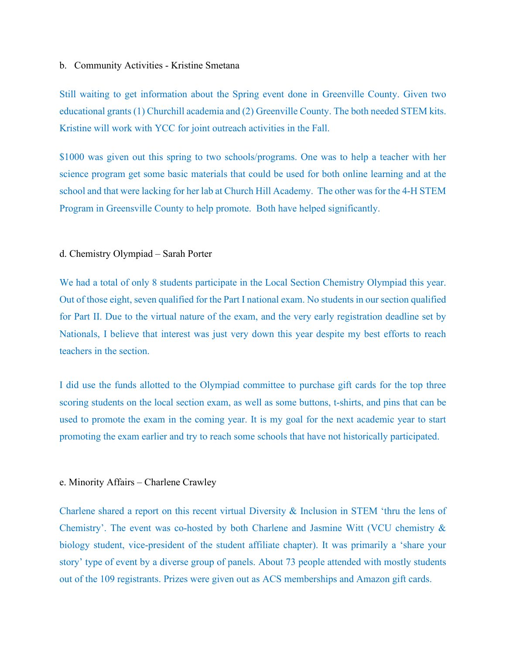#### b. Community Activities - Kristine Smetana

Still waiting to get information about the Spring event done in Greenville County. Given two educational grants (1) Churchill academia and (2) Greenville County. The both needed STEM kits. Kristine will work with YCC for joint outreach activities in the Fall.

\$1000 was given out this spring to two schools/programs. One was to help a teacher with her science program get some basic materials that could be used for both online learning and at the school and that were lacking for her lab at Church Hill Academy. The other was for the 4-H STEM Program in Greensville County to help promote. Both have helped significantly.

### d. Chemistry Olympiad – Sarah Porter

We had a total of only 8 students participate in the Local Section Chemistry Olympiad this year. Out of those eight, seven qualified for the Part I national exam. No students in our section qualified for Part II. Due to the virtual nature of the exam, and the very early registration deadline set by Nationals, I believe that interest was just very down this year despite my best efforts to reach teachers in the section.

I did use the funds allotted to the Olympiad committee to purchase gift cards for the top three scoring students on the local section exam, as well as some buttons, t-shirts, and pins that can be used to promote the exam in the coming year. It is my goal for the next academic year to start promoting the exam earlier and try to reach some schools that have not historically participated.

### e. Minority Affairs – Charlene Crawley

Charlene shared a report on this recent virtual Diversity & Inclusion in STEM 'thru the lens of Chemistry'. The event was co-hosted by both Charlene and Jasmine Witt (VCU chemistry & biology student, vice-president of the student affiliate chapter). It was primarily a 'share your story' type of event by a diverse group of panels. About 73 people attended with mostly students out of the 109 registrants. Prizes were given out as ACS memberships and Amazon gift cards.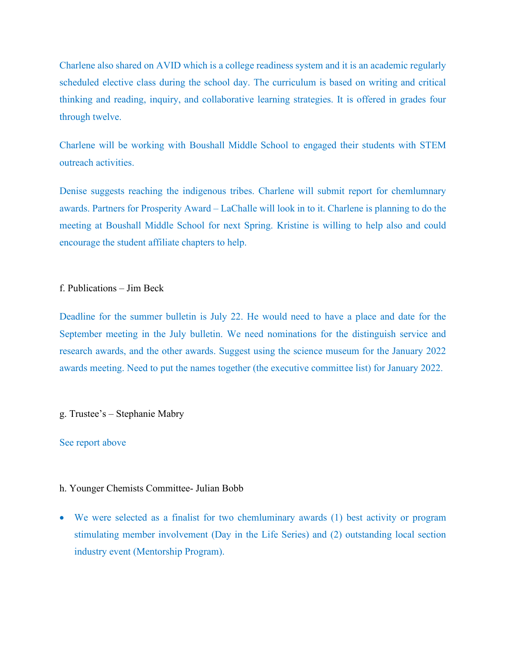Charlene also shared on AVID which is a college readiness system and it is an academic regularly scheduled elective class during the school day. The curriculum is based on writing and critical thinking and reading, inquiry, and collaborative learning strategies. It is offered in grades four through twelve.

Charlene will be working with Boushall Middle School to engaged their students with STEM outreach activities.

Denise suggests reaching the indigenous tribes. Charlene will submit report for chemlumnary awards. Partners for Prosperity Award – LaChalle will look in to it. Charlene is planning to do the meeting at Boushall Middle School for next Spring. Kristine is willing to help also and could encourage the student affiliate chapters to help.

# f. Publications – Jim Beck

Deadline for the summer bulletin is July 22. He would need to have a place and date for the September meeting in the July bulletin. We need nominations for the distinguish service and research awards, and the other awards. Suggest using the science museum for the January 2022 awards meeting. Need to put the names together (the executive committee list) for January 2022.

### g. Trustee's – Stephanie Mabry

### See report above

### h. Younger Chemists Committee- Julian Bobb

• We were selected as a finalist for two chemluminary awards (1) best activity or program stimulating member involvement (Day in the Life Series) and (2) outstanding local section industry event (Mentorship Program).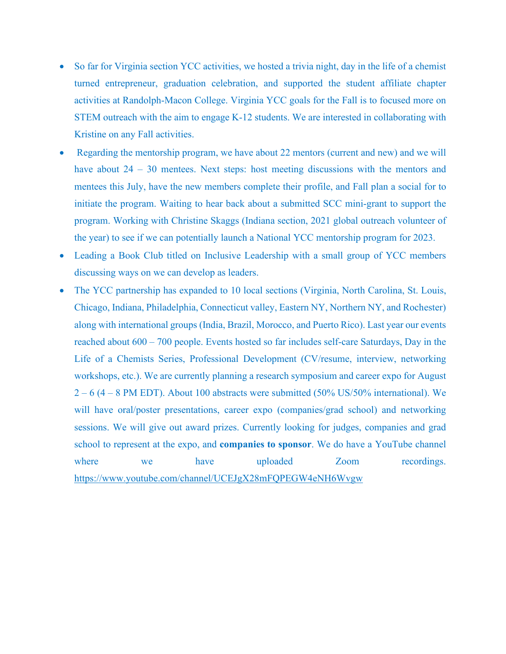- So far for Virginia section YCC activities, we hosted a trivia night, day in the life of a chemist turned entrepreneur, graduation celebration, and supported the student affiliate chapter activities at Randolph-Macon College. Virginia YCC goals for the Fall is to focused more on STEM outreach with the aim to engage K-12 students. We are interested in collaborating with Kristine on any Fall activities.
- Regarding the mentorship program, we have about 22 mentors (current and new) and we will have about 24 – 30 mentees. Next steps: host meeting discussions with the mentors and mentees this July, have the new members complete their profile, and Fall plan a social for to initiate the program. Waiting to hear back about a submitted SCC mini-grant to support the program. Working with Christine Skaggs (Indiana section, 2021 global outreach volunteer of the year) to see if we can potentially launch a National YCC mentorship program for 2023.
- Leading a Book Club titled on Inclusive Leadership with a small group of YCC members discussing ways on we can develop as leaders.
- The YCC partnership has expanded to 10 local sections (Virginia, North Carolina, St. Louis, Chicago, Indiana, Philadelphia, Connecticut valley, Eastern NY, Northern NY, and Rochester) along with international groups (India, Brazil, Morocco, and Puerto Rico). Last year our events reached about 600 – 700 people. Events hosted so far includes self-care Saturdays, Day in the Life of a Chemists Series, Professional Development (CV/resume, interview, networking workshops, etc.). We are currently planning a research symposium and career expo for August  $2 - 6$  (4 – 8 PM EDT). About 100 abstracts were submitted (50% US/50% international). We will have oral/poster presentations, career expo (companies/grad school) and networking sessions. We will give out award prizes. Currently looking for judges, companies and grad school to represent at the expo, and **companies to sponsor**. We do have a YouTube channel where we have uploaded Zoom recordings. <https://www.youtube.com/channel/UCEJgX28mFQPEGW4eNH6Wvgw>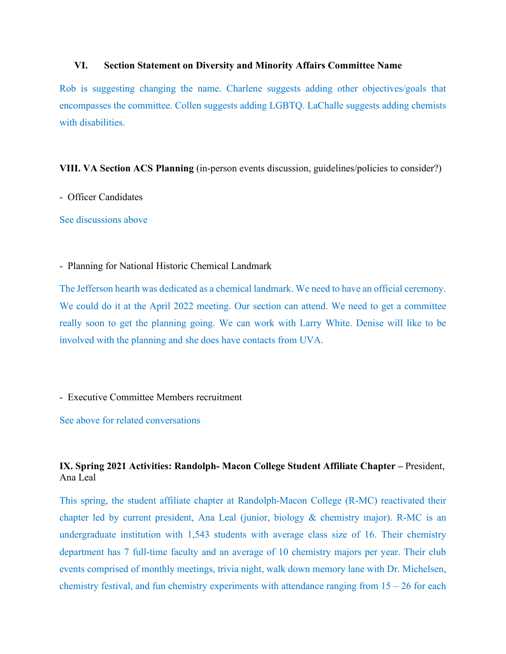### **VI. Section Statement on Diversity and Minority Affairs Committee Name**

Rob is suggesting changing the name. Charlene suggests adding other objectives/goals that encompasses the committee. Collen suggests adding LGBTQ. LaChalle suggests adding chemists with disabilities.

#### **VIII. VA Section ACS Planning** (in-person events discussion, guidelines/policies to consider?)

### - Officer Candidates

See discussions above

- Planning for National Historic Chemical Landmark

The Jefferson hearth was dedicated as a chemical landmark. We need to have an official ceremony. We could do it at the April 2022 meeting. Our section can attend. We need to get a committee really soon to get the planning going. We can work with Larry White. Denise will like to be involved with the planning and she does have contacts from UVA.

- Executive Committee Members recruitment

See above for related conversations

# **IX. Spring 2021 Activities: Randolph- Macon College Student Affiliate Chapter –** President, Ana Leal

This spring, the student affiliate chapter at Randolph-Macon College (R-MC) reactivated their chapter led by current president, Ana Leal (junior, biology & chemistry major). R-MC is an undergraduate institution with 1,543 students with average class size of 16. Their chemistry department has 7 full-time faculty and an average of 10 chemistry majors per year. Their club events comprised of monthly meetings, trivia night, walk down memory lane with Dr. Michelsen, chemistry festival, and fun chemistry experiments with attendance ranging from  $15 - 26$  for each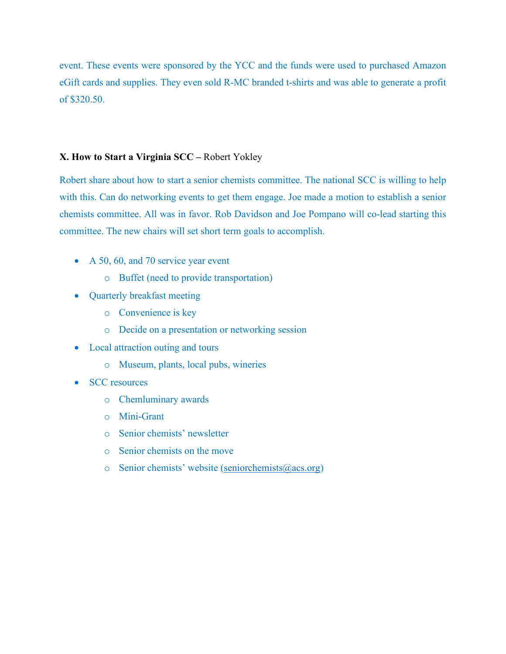event. These events were sponsored by the YCC and the funds were used to purchased Amazon eGift cards and supplies. They even sold R-MC branded t-shirts and was able to generate a profit of \$320.50.

## **X. How to Start a Virginia SCC –** Robert Yokley

Robert share about how to start a senior chemists committee. The national SCC is willing to help with this. Can do networking events to get them engage. Joe made a motion to establish a senior chemists committee. All was in favor. Rob Davidson and Joe Pompano will co-lead starting this committee. The new chairs will set short term goals to accomplish.

- A 50, 60, and 70 service year event
	- o Buffet (need to provide transportation)
- Quarterly breakfast meeting
	- o Convenience is key
	- o Decide on a presentation or networking session
- Local attraction outing and tours
	- o Museum, plants, local pubs, wineries
- **SCC** resources
	- o Chemluminary awards
	- o Mini-Grant
	- o Senior chemists' newsletter
	- o Senior chemists on the move
	- $\circ$  Senior chemists' website [\(seniorchemists@acs.org\)](mailto:seniorchemists@acs.org)